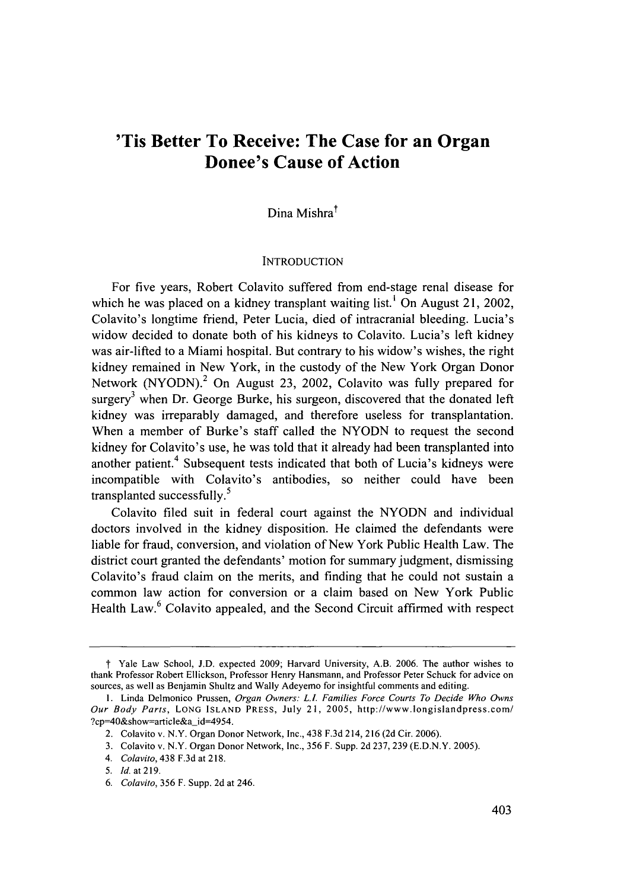# Dina Mishra<sup>†</sup>

#### INTRODUCTION

For five years, Robert Colavito suffered from end-stage renal disease for which he was placed on a kidney transplant waiting list.<sup>1</sup> On August 21, 2002, Colavito's longtime friend, Peter Lucia, died of intracranial bleeding. Lucia's widow decided to donate both of his kidneys to Colavito. Lucia's left kidney was air-lifted to a Miami hospital. But contrary to his widow's wishes, the right kidney remained in New York, in the custody of the New York Organ Donor Network (NYODN).<sup>2</sup> On August 23, 2002, Colavito was fully prepared for surgery<sup>3</sup> when Dr. George Burke, his surgeon, discovered that the donated left kidney was irreparably damaged, and therefore useless for transplantation. When a member of Burke's staff called the NYODN to request the second kidney for Colavito's use, he was told that it already had been transplanted into another patient.<sup>4</sup> Subsequent tests indicated that both of Lucia's kidneys were incompatible with Colavito's antibodies, so neither could have been transplanted successfully.<sup>5</sup>

Colavito filed suit in federal court against the NYODN and individual doctors involved in the kidney disposition. He claimed the defendants were liable for fraud, conversion, and violation of New York Public Health Law. The district court granted the defendants' motion for summary judgment, dismissing Colavito's fraud claim on the merits, and finding that he could not sustain a common law action for conversion or a claim based on New York Public Health Law.<sup>6</sup> Colavito appealed, and the Second Circuit affirmed with respect

t Yale Law School, J.D. expected 2009; Harvard University, A.B. 2006. The author wishes to thank Professor Robert Ellickson, Professor Henry Hansmann, and Professor Peter Schuck for advice on sources, as well as Benjamin Shultz and Wally Adeyemo for insightful comments and editing.

<sup>1.</sup> Linda Delmonico Prussen, *Organ Owners: LI. Families Force Courts To Decide Who Owns Our Body Parts,* LONG ISLAND PRESS, July 21, 2005, http://www.longislandpress.com/ ?cp=40&show=article&a\_id=4954.

<sup>2.</sup> Colavito v. N.Y. Organ Donor Network, Inc., 438 F.3d 214, 216 (2d Cir. 2006).

<sup>3.</sup> Colavito v. N.Y. Organ Donor Network, Inc., 356 F. Supp. 2d 237, 239 (E.D.N.Y. 2005).

<sup>4.</sup> *Colavito, 438* F.3dat218.

*<sup>5.</sup> Id.* at 219.

*<sup>6.</sup> Colavito,* 356 F. Supp. 2d at 246.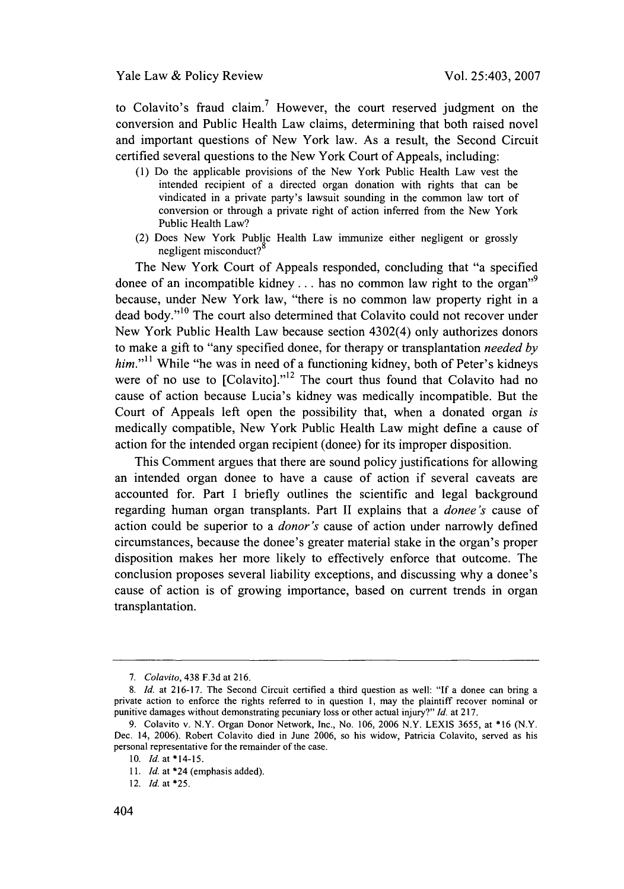to Colavito's fraud claim.7 However, the court reserved judgment on the conversion and Public Health Law claims, determining that both raised novel and important questions of New York law. As a result, the Second Circuit certified several questions to the New York Court of Appeals, including:

- (1) Do the applicable provisions of the New York Public Health Law vest the intended recipient of a directed organ donation with rights that can be vindicated in a private party's lawsuit sounding in the common law tort of conversion or through a private right of action inferred from the New York Public Health Law?
- (2) Does New York Public Health Law immunize either negligent or grossly negligent misconduct?<sup>8</sup>

The New York Court of Appeals responded, concluding that "a specified donee of an incompatible kidney... has no common law right to the organ<sup>"9</sup> because, under New York law, "there is no common law property right in a dead body."<sup>10</sup> The court also determined that Colavito could not recover under New York Public Health Law because section 4302(4) only authorizes donors to make a gift to "any specified donee, for therapy or transplantation *needed by him.*"<sup>11</sup> While "he was in need of a functioning kidney, both of Peter's kidneys were of no use to [Colavito]."<sup>12</sup> The court thus found that Colavito had no cause of action because Lucia's kidney was medically incompatible. But the Court of Appeals left open the possibility that, when a donated organ *is* medically compatible, New York Public Health Law might define a cause of action for the intended organ recipient (donee) for its improper disposition.

This Comment argues that there are sound policy justifications for allowing an intended organ donee to have a cause of action if several caveats are accounted for. Part I briefly outlines the scientific and legal background regarding human organ transplants. Part II explains that a *donee's* cause of action could be superior to a *donor's* cause of action under narrowly defined circumstances, because the donee's greater material stake in the organ's proper disposition makes her more likely to effectively enforce that outcome. The conclusion proposes several liability exceptions, and discussing why a donee's cause of action is of growing importance, based on current trends in organ transplantation.

*<sup>7.</sup> Colavito,* 438 F.3d at 216.

*<sup>8.</sup> Id.* at 216-17. The Second Circuit certified a third question as well: "If a donee can bring a private action to enforce the rights referred to in question 1, may the plaintiff recover nominal or punitive damages without demonstrating pecuniary loss or other actual injury?" *Id.* at 217.

<sup>9.</sup> Colavito v. N.Y. Organ Donor Network, Inc., No. 106, 2006 N.Y. LEXIS 3655, at **\*16** (N.Y. Dec. 14, 2006). Robert Colavito died in June 2006, so his widow, Patricia Colavito, served as his personal representative for the remainder of the case.

<sup>10.</sup> *Id.* at \*14-15.

*<sup>11.</sup> Id.* at \*24 (emphasis added).

<sup>12.</sup> *Id.* at \*25.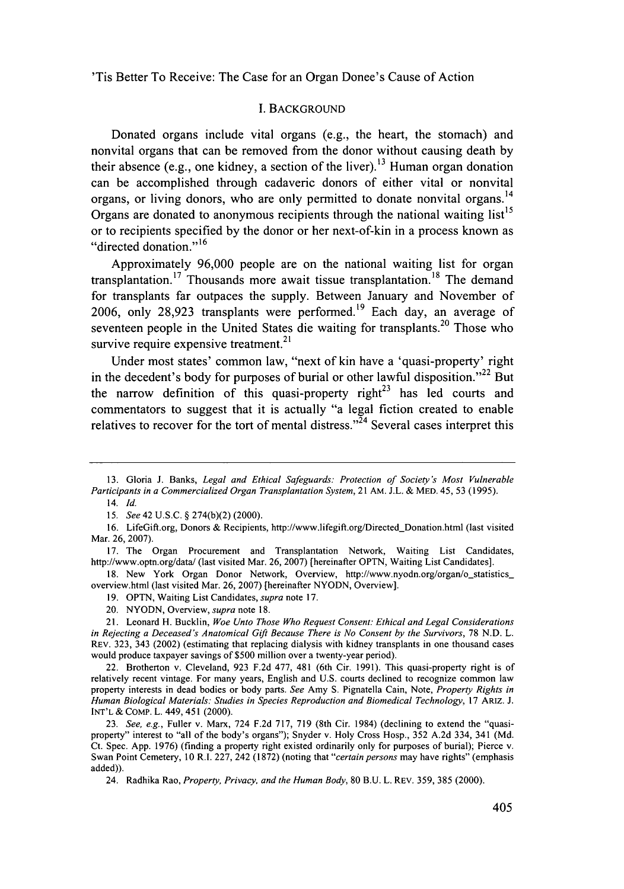#### I. BACKGROUND

Donated organs include vital organs (e.g., the heart, the stomach) and nonvital organs that can be removed from the donor without causing death by their absence (e.g., one kidney, a section of the liver),<sup>13</sup> Human organ donation can be accomplished through cadaveric donors of either vital or nonvital organs, or living donors, who are only permitted to donate nonvital organs.<sup>14</sup> Organs are donated to anonymous recipients through the national waiting list<sup>15</sup> or to recipients specified by the donor or her next-of-kin in a process known as "directed donation."<sup>16</sup>

Approximately 96,000 people are on the national waiting list for organ transplantation.<sup>17</sup> Thousands more await tissue transplantation.<sup>18</sup> The demand for transplants far outpaces the supply. Between January and November of 2006, only 28,923 transplants were performed.<sup>19</sup> Each day, an average of seventeen people in the United States die waiting for transplants.<sup>20</sup> Those who survive require expensive treatment.<sup>21</sup>

Under most states' common law, "next of kin have a 'quasi-property' right in the decedent's body for purposes of burial or other lawful disposition.<sup> $22$ </sup> But the narrow definition of this quasi-property right<sup>23</sup> has led courts and commentators to suggest that it is actually "a legal fiction created to enable relatives to recover for the tort of mental distress.<sup> $\frac{3}{24}$ </sup> Several cases interpret this

17. The Organ Procurement and Transplantation Network, Waiting List Candidates, http://www.optn.org/data/ (last visited Mar. 26, 2007) [hereinafter OPTN, Waiting List Candidates].

18. New York Organ Donor Network, Overview, http://www.nyodn.org/organ/o-statistics\_ overview.html (last visited Mar. 26, 2007) [hereinafter NYODN, Overview].

- 19. OPTN, Waiting List Candidates, *supra* note 17.
- 20. NYODN, Overview, *supra* note 18.

<sup>13.</sup> Gloria J. Banks, *Legal and Ethical Safeguards: Protection of Society's Most Vulnerable Participants in a Commercialized Organ Transplantation System,* 21 AM. J.L. & MED. 45, 53 (1995). 14. *Id.*

<sup>15.</sup> *See42* U.S.C. § 274(b)(2) (2000).

<sup>16.</sup> LifeGift.org, Donors & Recipients, http://www.lifegift.org/Directed\_Donation.html (last visited Mar. 26, 2007).

<sup>21.</sup> Leonard H. Bucklin, *Woe Unto Those Who Request Consent. Ethical and Legal Considerations in Rejecting a Deceased's Anatomical* Gift *Because There is No Consent by the Survivors,* 78 N.D. L. REV. 323, 343 (2002) (estimating that replacing dialysis with kidney transplants in one thousand cases would produce taxpayer savings of \$500 million over a twenty-year period).

<sup>22.</sup> Brotherton v. Cleveland, 923 F.2d 477, 481 (6th Cir. 1991). This quasi-property right is of relatively recent vintage. For many years, English and U.S. courts declined to recognize common law property interests in dead bodies or body parts. *See* Amy S. Pignatella Cain, Note, *Property Rights in Human Biological Materials: Studies in Species Reproduction and Biomedical Technology,* 17 ARIZ. J. INT'L & COMP. L. 449, 451 (2000).

<sup>23.</sup> *See, e.g.,* Fuller v. Marx, 724 F.2d 717, 719 (8th Cir. 1984) (declining to extend the "quasiproperty" interest to "all of the body's organs"); Snyder v. Holy Cross Hosp., 352 A.2d 334, 341 (Md. Ct. Spec. App. 1976) (finding a property right existed ordinarily only for purposes of burial); Pierce v. Swan Point Cemetery, 10 R.I. 227, 242 (1872) (noting that *"certain persons* may have rights" (emphasis added)).

<sup>24.</sup> Radhika Rao, *Property, Privacy, and the Human Body,* 80 B.U. L. REV. 359, 385 (2000).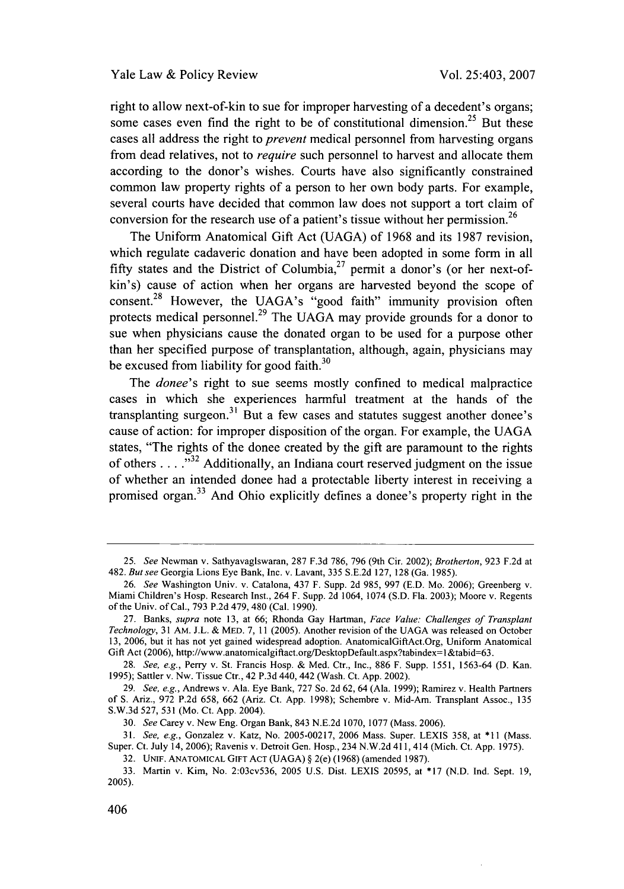Yale Law & Policy Review

right to allow next-of-kin to sue for improper harvesting of a decedent's organs; some cases even find the right to be of constitutional dimension.<sup>25</sup> But these cases all address the right to *prevent* medical personnel from harvesting organs from dead relatives, not to *require* such personnel to harvest and allocate them according to the donor's wishes. Courts have also significantly constrained common law property rights of a person to her own body parts. For example, several courts have decided that common law does not support a tort claim of conversion for the research use of a patient's tissue without her permission.<sup>26</sup>

The Uniform Anatomical Gift Act (UAGA) of 1968 and its 1987 revision, which regulate cadaveric donation and have been adopted in some form in all fifty states and the District of Columbia,<sup>27</sup> permit a donor's (or her next-ofkin's) cause of action when her organs are harvested beyond the scope of consent.<sup>28</sup> However, the UAGA's "good faith" immunity provision often protects medical personnel.<sup>29</sup> The UAGA may provide grounds for a donor to sue when physicians cause the donated organ to be used for a purpose other than her specified purpose of transplantation, although, again, physicians may be excused from liability for good faith. $30$ 

The *donee's* right to sue seems mostly confined to medical malpractice cases in which she experiences harmful treatment at the hands of the transplanting surgeon.<sup>31</sup> But a few cases and statutes suggest another donee's cause of action: for improper disposition of the organ. For example, the UAGA states, "The rights of the donee created by the gift are paramount to the rights of others  $\dots$   $\frac{32}{2}$  Additionally, an Indiana court reserved judgment on the issue of whether an intended donee had a protectable liberty interest in receiving a promised organ.<sup>33</sup> And Ohio explicitly defines a donee's property right in the

30. *See* Carey v. New Eng. Organ Bank, 843 N.E.2d 1070, 1077 (Mass. 2006).

31. *See, e.g.,* Gonzalez v. Katz, No. 2005-00217, 2006 Mass. Super. LEXIS 358, at \*11 (Mass. Super. Ct. July 14, 2006); Ravenis v. Detroit Gen. Hosp., 234 N.W.2d 411,414 (Mich. Ct. App. 1975).

<sup>25.</sup> *See* Newman v. Sathyavaglswaran, 287 F.3d 786, 796 (9th Cir. 2002); *Brotherton,* 923 F.2d at 482. *But see* Georgia Lions Eye Bank, Inc. v. Lavant, 335 S.E.2d 127, 128 (Ga. 1985).

<sup>26.</sup> *See* Washington Univ. v. Catalona, 437 F. Supp. 2d 985, 997 (E.D. Mo. 2006); Greenberg v. Miami Children's Hosp. Research Inst., 264 F. Supp. 2d 1064, 1074 (S.D. Fla. 2003); Moore v. Regents of the Univ. of Cal., 793 P.2d 479, 480 (Cal. 1990).

<sup>27.</sup> Banks, *supra* note 13, at 66; Rhonda Gay Hartman, *Face Value: Challenges of Transplant Technology,* 31 AM. J.L. & MED. 7, 11 (2005). Another revision of the UAGA was released on October 13, 2006, but it has not yet gained widespread adoption. AnatomicalGiftAct.Org, Uniform Anatomical Gift Act (2006), http://www.anatomicalgiftact.org/DesktopDefault.aspx?tabindex=1&tabid=63.

*<sup>28.</sup> See, e.g.,* Perry v. St. Francis Hosp. & Med. Ctr., Inc., 886 F. Supp. 1551, 1563-64 (D. Kan. 1995); Sattler v. Nw. Tissue Ctr., 42 P.3d 440, 442 (Wash. Ct. App. 2002).

<sup>29.</sup> *See, e.g.,* Andrews v. Ala. Eye Bank, 727 So. 2d 62, 64 (Ala. 1999); Ramirez v. Health Partners of S. Ariz., 972 P.2d 658, 662 (Ariz. Ct. App. 1998); Schembre v. Mid-Am. Transplant Assoc., 135 S.W.3d 527, 531 (Mo. Ct. App. 2004).

<sup>32.</sup> UNIF. ANATOMICAL GIFT ACT (UAGA) § 2(e) (1968) (amended 1987).

<sup>33.</sup> Martin v. Kim, No. 2:03cv536, 2005 U.S. Dist. LEXIS 20595, at **\*17** (N.D. Ind. Sept. 19, 2005).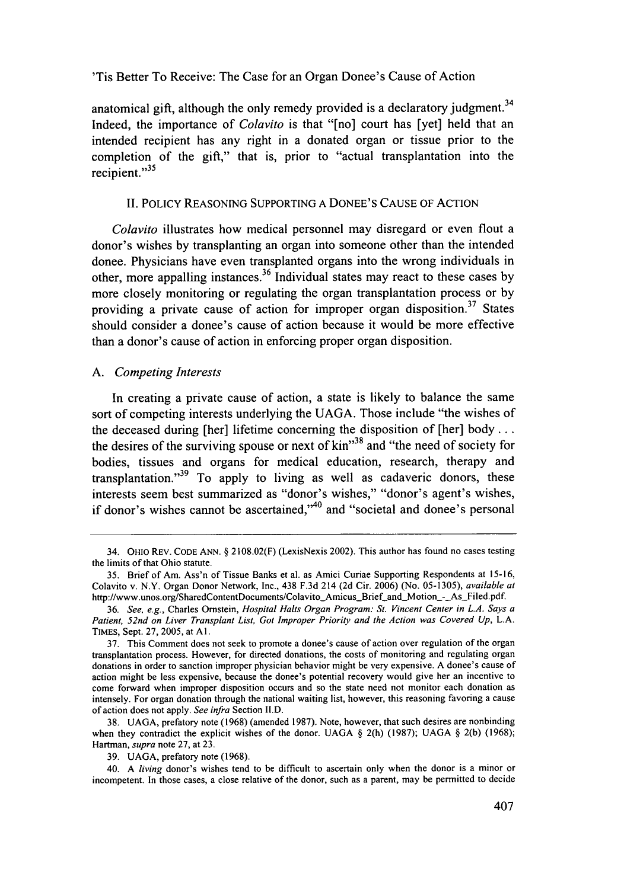anatomical gift, although the only remedy provided is a declaratory judgment.<sup>34</sup> Indeed, the importance of *Colavito* is that "[no] court has [yet] held that an intended recipient has any right in a donated organ or tissue prior to the completion of the gift," that is, prior to "actual transplantation into the recipient."<sup>35</sup>

## **1I.** POLICY REASONING SUPPORTING A DONEE'S CAUSE OF ACTION

*Colavito* illustrates how medical personnel may disregard or even flout a donor's wishes **by** transplanting an organ into someone other than the intended donee. Physicians have even transplanted organs into the wrong individuals in other, more appalling instances.<sup>36</sup> Individual states may react to these cases by more closely monitoring or regulating the organ transplantation process or by providing a private cause of action for improper organ disposition.<sup>37</sup> States should consider a donee's cause of action because it would be more effective than a donor's cause of action in enforcing proper organ disposition.

## *A. Competing Interests*

In creating a private cause of action, a state is likely to balance the same sort of competing interests underlying the UAGA. Those include "the wishes of the deceased during [her] lifetime concerning the disposition of [her] body... the desires of the surviving spouse or next of  $\text{kin}^{38}$  and "the need of society for bodies, tissues and organs for medical education, research, therapy and transplantation."<sup>39</sup> To apply to living as well as cadaveric donors, these interests seem best summarized as "donor's wishes," "donor's agent's wishes, if donor's wishes cannot be ascertained,"<sup>40</sup> and "societal and donee's personal

38. UAGA, prefatory note (1968) (amended 1987). Note, however, that such desires are nonbinding when they contradict the explicit wishes of the donor. UAGA  $\S$  2(h) (1987); UAGA  $\S$  2(b) (1968); Hartman, *supra* note 27, at 23.

**39.** UAGA, prefatory note (1968).

40. A *living* donor's wishes tend to be difficult to ascertain only when the donor is a minor or incompetent. In those cases, a close relative of the donor, such as a parent, may be permitted to decide

<sup>34.</sup> OHIO REV. CODE ANN. § 2108.02(F) (LexisNexis 2002). This author has found no cases testing the limits of that Ohio statute.

<sup>35.</sup> Brief of Am. Ass'n of Tissue Banks et al. as Amici Curiae Supporting Respondents at 15-16, Colavito v. N.Y. Organ Donor Network, Inc., 438 F.3d 214 (2d Cir. 2006) (No. 05-1305), *available at* http://www.unos.org/SharedContentDocuments/Colavito\_Amicus\_Brief\_and\_Motion\_-\_As\_Filed.pdf.

<sup>36.</sup> *See, e.g.,* Charles Ornstein, *Hospital Halts Organ Program: St. Vincent Center in L.A. Says a* Patient, 52nd on Liver Transplant List, Got Improper Priority and the Action was Covered Up, L.A. TiMES, Sept. 27, 2005, at **Al.**

<sup>37.</sup> This Comment does not seek to promote a donee's cause of action over regulation of the organ transplantation process. However, for directed donations, the costs of monitoring and regulating organ donations in order to sanction improper physician behavior might be very expensive. A donee's cause of action might be less expensive, because the donee's potential recovery would give her an incentive to come forward when improper disposition occurs and so the state need not monitor each donation as intensely. For organ donation through the national waiting list, however, this reasoning favoring a cause of action does not apply. *See infra* Section II.D.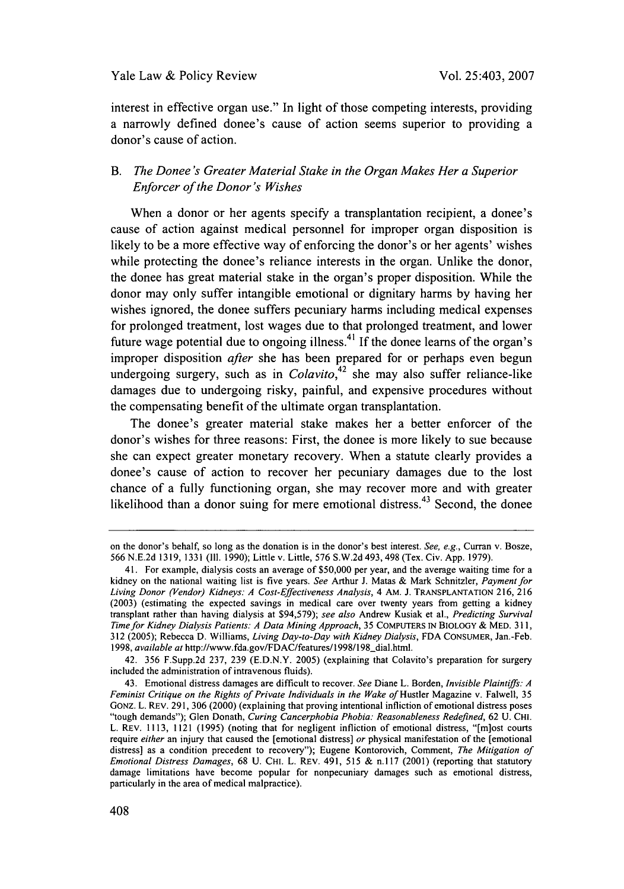Yale Law & Policy Review

interest in effective organ use." In light of those competing interests, providing a narrowly defined donee's cause of action seems superior to providing a donor's cause of action.

# *B. The Donee's Greater Material Stake in the Organ Makes Her a Superior Enforcer of the Donor's Wishes*

When a donor or her agents specify a transplantation recipient, a donee's cause of action against medical personnel for improper organ disposition is likely to be a more effective way of enforcing the donor's or her agents' wishes while protecting the donee's reliance interests in the organ. Unlike the donor, the donee has great material stake in the organ's proper disposition. While the donor may only suffer intangible emotional or dignitary harms by having her wishes ignored, the donee suffers pecuniary harms including medical expenses for prolonged treatment, lost wages due to that prolonged treatment, and lower future wage potential due to ongoing illness.<sup>41</sup> If the donee learns of the organ's improper disposition *after* she has been prepared for or perhaps even begun undergoing surgery, such as in *Colavito*,<sup>42</sup> she may also suffer reliance-like damages due to undergoing risky, painful, and expensive procedures without the compensating benefit of the ultimate organ transplantation.

The donee's greater material stake makes her a better enforcer of the donor's wishes for three reasons: First, the donee is more likely to sue because she can expect greater monetary recovery. When a statute clearly provides a donee's cause of action to recover her pecuniary damages due to the lost chance of a fully functioning organ, she may recover more and with greater likelihood than a donor suing for mere emotional distress.<sup>43</sup> Second, the donee

42. 356 F.Supp.2d 237, 239 (E.D.N.Y. 2005) (explaining that Colavito's preparation for surgery included the administration of intravenous fluids).

on the donor's behalf, so long as the donation is in the donor's best interest. *See, e.g.,* Curran v. Bosze, 566 N.E.2d 1319, 1331 (Ill. 1990); Little v. Little, 576 S.W.2d 493,498 (Tex. Civ. App. 1979).

<sup>41.</sup> For example, dialysis costs an average of \$50,000 per year, and the average waiting time for a kidney on the national waiting list is five years. *See* Arthur J. Matas & Mark Schnitzler, *Payment for Living Donor (Vendor) Kidneys: A Cost-Effectiveness Analysis,* 4 AM. J. TRANSPLANTATION 216, 216 (2003) (estimating the expected savings in medical care over twenty years from getting a kidney transplant rather than having dialysis at \$94,579); *see also* Andrew Kusiak et al., *Predicting Survival Time for Kidney Dialysis Patients: A Data Mining Approach,* 35 COMPUTERS IN BIOLOGY & MED. 311, 312 (2005); Rebecca D. Williams, *Living Day-to-Day with Kidney Dialysis,* FDA CONSUMER, Jan.-Feb. 1998, *available* at http://www.fda.gov/FDAC/features/ 998/198\_dial.html.

<sup>43.</sup> Emotional distress damages are difficult to recover. *See* Diane L. Borden, *Invisible Plaintiffs: A Feminist Critique on the Rights of Private Individuals in the Wake of Hustler Magazine v. Falwell, 35* GONZ. L. REv. 291, 306 (2000) (explaining that proving intentional infliction of emotional distress poses "tough demands"); Glen Donath, *Curing Cancerphobia Phobia: Reasonableness Redefined,* 62 U. CHI. L. REv. 1113, 1121 (1995) (noting that for negligent infliction of emotional distress, "[m]ost courts require *either* an injury that caused the [emotional distress] or physical manifestation of the [emotional distress] as a condition precedent to recovery"); Eugene Kontorovich, Comment, *The Mitigation* of Emotional *Distress* Damages, 68 U. CHI. L. REv. 491, 515 & n. **117** (2001) (reporting that statutory damage limitations have become popular for nonpecuniary damages such as emotional distress, particularly in the area of medical malpractice).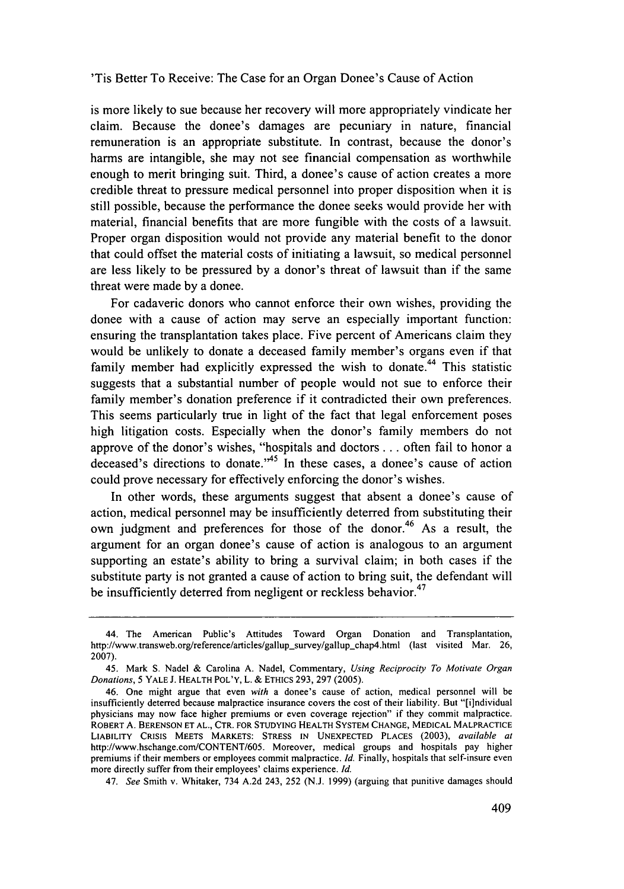is more likely to sue because her recovery will more appropriately vindicate her claim. Because the donee's damages are pecuniary in nature, financial remuneration is an appropriate substitute. In contrast, because the donor's harms are intangible, she may not see financial compensation as worthwhile enough to merit bringing suit. Third, a donee's cause of action creates a more credible threat to pressure medical personnel into proper disposition when it is still possible, because the performance the donee seeks would provide her with material, financial benefits that are more fungible with the costs of a lawsuit. Proper organ disposition would not provide any material benefit to the donor that could offset the material costs of initiating a lawsuit, so medical personnel are less likely to be pressured by a donor's threat of lawsuit than if the same threat were made by a donee.

For cadaveric donors who cannot enforce their own wishes, providing the donee with a cause of action may serve an especially important function: ensuring the transplantation takes place. Five percent of Americans claim they would be unlikely to donate a deceased family member's organs even if that family member had explicitly expressed the wish to donate.<sup>44</sup> This statistic suggests that a substantial number of people would not sue to enforce their family member's donation preference if it contradicted their own preferences. This seems particularly true in light of the fact that legal enforcement poses high litigation costs. Especially when the donor's family members do not approve of the donor's wishes, "hospitals and doctors.., often fail to honor a deceased's directions to donate."<sup>45</sup> In these cases, a donee's cause of action could prove necessary for effectively enforcing the donor's wishes.

In other words, these arguments suggest that absent a donee's cause of action, medical personnel may be insufficiently deterred from substituting their own judgment and preferences for those of the donor.<sup>46</sup> As a result, the argument for an organ donee's cause of action is analogous to an argument supporting an estate's ability to bring a survival claim; in both cases if the substitute party is not granted a cause of action to bring suit, the defendant will be insufficiently deterred from negligent or reckless behavior.<sup>47</sup>

<sup>44.</sup> The American Public's Attitudes Toward Organ Donation and Transplantation, http://www.transweb.org/reference/articles/gallup-survey/gallup-chap4.html (last visited Mar. 26, 2007).

<sup>45.</sup> Mark **S.** Nadel **&** Carolina **A.** Nadel, Commentary, *Using Reciprocity To Motivate Organ Donations, 5* YALE **J.** HEALTH **POL'Y,** L. & **ETHICS 293, 297 (2005).**

<sup>46.</sup> One might argue that even *with* a donee's cause of action, medical personnel will be insufficiently deterred because malpractice insurance covers the cost of their liability. But "[i]ndividual physicians may now face higher premiums or even coverage rejection" if they commit malpractice. ROBERT **A. BERENSON ET AL.,** CTR. FOR STUDYING HEALTH SYSTEM **CHANGE, MEDICAL MALPRACTICE** LIABILITY **CRISIS MEETS** MARKETS: **STRESS IN UNEXPECTED PLACES** (2003), available at http://www.hschange.com/CONTENT/605. Moreover, medical groups and hospitals pay higher premiums if their members or employees commit malpractice. *Id.* Finally, hospitals that self-insure even more directly suffer from their employees' claims experience. *Id.*

<sup>47.</sup> *See* Smith v. Whitaker, 734 A.2d 243, 252 (N.J. 1999) (arguing that punitive damages should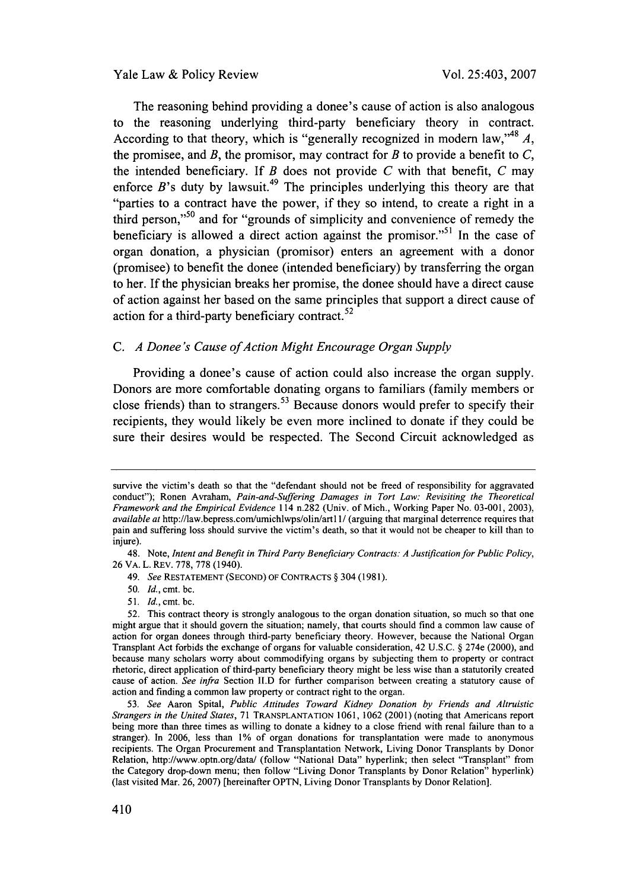Yale Law & Policy Review Vol. 25:403, 2007

The reasoning behind providing a donee's cause of action is also analogous to the reasoning underlying third-party beneficiary theory in contract. According to that theory, which is "generally recognized in modern law,"<sup>48</sup> A, the promisee, and *B,* the promisor, may contract for *B* to provide a benefit to *C,* the intended beneficiary. If *B* does not provide *C* with that benefit, *C* may enforce *B*'s duty by lawsuit.<sup>49</sup> The principles underlying this theory are that "parties to a contract have the power, if they so intend, to create a right in a third person,"<sup>50</sup> and for "grounds of simplicity and convenience of remedy the beneficiary is allowed a direct action against the promisor."<sup>51</sup> In the case of organ donation, a physician (promisor) enters an agreement with a donor (promisee) to benefit the donee (intended beneficiary) **by** transferring the organ to her. If the physician breaks her promise, the donee should have a direct cause of action against her based on the same principles that support a direct cause of action for a third-party beneficiary contract. $52$ 

# **C.** *A Donee's Cause of Action Might Encourage Organ Supply*

Providing a donee's cause of action could also increase the organ supply. Donors are more comfortable donating organs to familiars (family members or close friends) than to strangers.<sup>53</sup> Because donors would prefer to specify their recipients, they would likely be even more inclined to donate if they could be sure their desires would be respected. The Second Circuit acknowledged as

- *50. Id.,* cmt. bc.
- 51. *Id.,* cmt. bc.

survive the victim's death so that the "defendant should not be freed of responsibility for aggravated conduct"); Ronen Avraham, *Pain-and-Suffering Damages in Tort Law: Revisiting the Theoretical Framework and the Empirical Evidence* 114 n.282 (Univ. of Mich., Working Paper No. 03-001, 2003), *available at* http://law.bepress.com/umichlwps/olin/artl *1/* (arguing that marginal deterrence requires that pain and suffering loss should survive the victim's death, so that it would not be cheaper to kill than to injure).

<sup>48.</sup> Note, *Intent and Benefit in Third Party Beneficiary Contracts: A Justification for Public Policy,* 26 VA. L. REv. 778, 778 (1940).

<sup>49.</sup> *See* **RESTATEMENT (SECOND)** OF **CONTRACTS** § 304 (1981).

<sup>52.</sup> This contract theory is strongly analogous to the organ donation situation, so much so that one might argue that it should govern the situation; namely, that courts should find a common law cause of action for organ donees through third-party beneficiary theory. However, because the National Organ Transplant Act forbids the exchange of organs for valuable consideration, 42 U.S.C. § 274e (2000), and because many scholars worry about commodifying organs by subjecting them to property or contract rhetoric, direct application of third-party beneficiary theory might be less wise than a statutorily created cause of action. *See infra* Section II.D for further comparison between creating a statutory cause of action and finding a common law property or contract right to the organ.

<sup>53.</sup> *See* Aaron Spital, *Public Attitudes Toward Kidney Donation by Friends and Altruistic Strangers in the United States,* 71 TRANSPLANTATION 1061, 1062 (2001) (noting that Americans report being more than three times as willing to donate a kidney to a close friend with renal failure than to a stranger). In 2006, less than 1% of organ donations for transplantation were made to anonymous recipients. The Organ Procurement and Transplantation Network, Living Donor Transplants by Donor Relation, http://www.optn.org/data/ (follow "National Data" hyperlink; then select "Transplant" from the Category drop-down menu; then follow "Living Donor Transplants by Donor Relation" hyperlink) (last visited Mar. 26, 2007) [hereinafter OPTN, Living Donor Transplants by Donor Relation].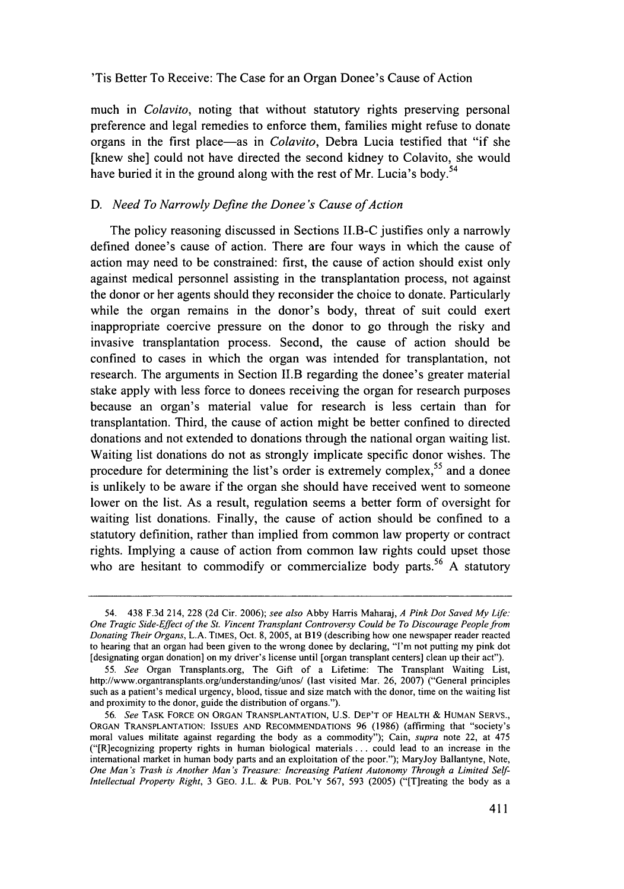much in *Colavito,* noting that without statutory rights preserving personal preference and legal remedies to enforce them, families might refuse to donate organs in the first place-as in *Colavito,* Debra Lucia testified that "if she [knew she] could not have directed the second kidney to Colavito, she would have buried it in the ground along with the rest of Mr. Lucia's body.<sup>54</sup>

## **D.** Need To Narrowly Define the Donee's Cause of Action

The policy reasoning discussed in Sections II.B-C justifies only a narrowly defined donee's cause of action. There are four ways in which the cause of action may need to be constrained: first, the cause of action should exist only against medical personnel assisting in the transplantation process, not against the donor or her agents should they reconsider the choice to donate. Particularly while the organ remains in the donor's body, threat of suit could exert inappropriate coercive pressure on the donor to go through the risky and invasive transplantation process. Second, the cause of action should be confined to cases in which the organ was intended for transplantation, not research. The arguments in Section II.B regarding the donee's greater material stake apply with less force to donees receiving the organ for research purposes because an organ's material value for research is less certain than for transplantation. Third, the cause of action might be better confined to directed donations and not extended to donations through the national organ waiting list. Waiting list donations do not as strongly implicate specific donor wishes. The procedure for determining the list's order is extremely complex,  $5<sup>5</sup>$  and a donee is unlikely to be aware if the organ she should have received went to someone lower on the list. As a result, regulation seems a better form of oversight for waiting list donations. Finally, the cause of action should be confined to a statutory definition, rather than implied from common law property or contract rights. Implying a cause of action from common law rights could upset those who are hesitant to commodify or commercialize body parts.<sup>56</sup> A statutory

<sup>54. 438</sup> F.3d 214, 228 (2d Cir. 2006); *see also* Abby Harris Maharaj, *A Pink Dot Saved My* Life: *One Tragic Side-Effect of the St. Vincent Transplant Controversy Could be To Discourage People from Donating Their Organs,* L.A. TIMES, Oct. 8, 2005, at **B19** (describing how one newspaper reader reacted to hearing that an organ had been given to the wrong donee by declaring, "I'm not putting my pink dot [designating organ donation] on my driver's license until [organ transplant centers] clean up their act").

<sup>55.</sup> *See* Organ Transplants.org, The Gift of a Lifetime: The Transplant Waiting List, http://www.organtransplants.org/understanding/unos/ (last visited Mar. 26, 2007) ("General principles such as a patient's medical urgency, blood, tissue and size match with the donor, time on the waiting list and proximity to the donor, guide the distribution of organs.").

<sup>56.</sup> *See* TASK **FORCE ON ORGAN TRANSPLANTATION,** U.S. DEP'T OF HEALTH **&** HUMAN SERVS., ORGAN TRANSPLANTATION: ISSUES AND RECOMMENDATIONS 96 (1986) (affirming that "society's moral values militate against regarding the body as a commodity"); Cain, *supra* note 22, at 475 ("[R]ecognizing property rights in human biological materials **...** could lead to an increase in the international market in human body parts and an exploitation of the poor."); MaryJoy Ballantyne, Note, *One Man's* Trash *is Another Man 's Treasure: Increasing Patient Autonomy Through a Limited Self-Intellectual Property Right,* 3 GEO. **J.L.** & PUB. POL'Y 567, 593 (2005) ("[T]reating the body as a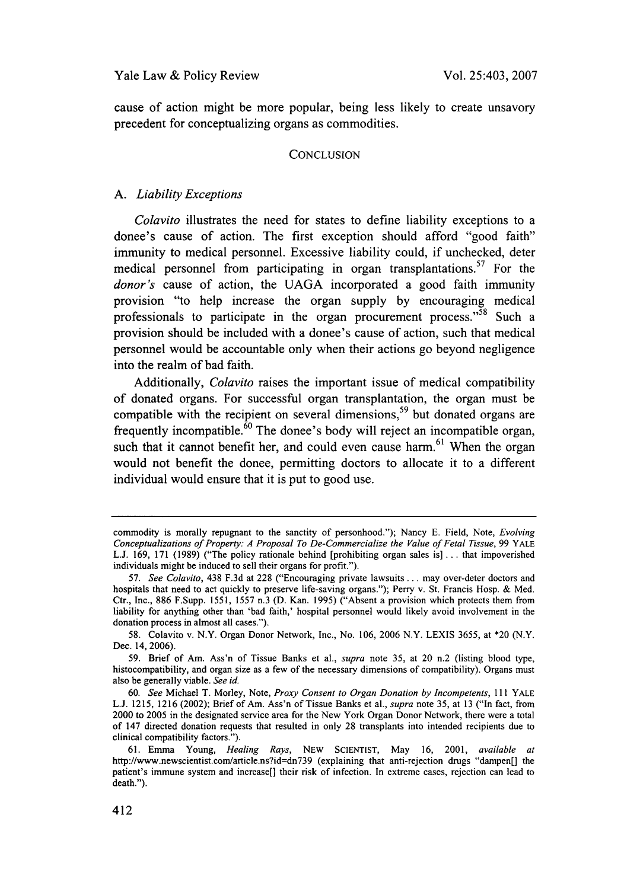Yale Law **&** Policy Review

cause of action might be more popular, being less likely to create unsavory precedent for conceptualizing organs as commodities.

#### **CONCLUSION**

#### *A. Liability Exceptions*

*Colavito* illustrates the need for states to define liability exceptions to a donee's cause of action. The first exception should afford "good faith" immunity to medical personnel. Excessive liability could, if unchecked, deter medical personnel from participating in organ transplantations.<sup>57</sup> For the *donor's* cause of action, the UAGA incorporated a good faith immunity provision "to help increase the organ supply by encouraging medical professionals to participate in the organ procurement process. $.58$  Such a provision should be included with a donee's cause of action, such that medical personnel would be accountable only when their actions go beyond negligence into the realm of bad faith.

Additionally, *Colavito* raises the important issue of medical compatibility of donated organs. For successful organ transplantation, the organ must be compatible with the recipient on several dimensions,<sup>59</sup> but donated organs are frequently incompatible.  $\frac{60}{10}$  The donee's body will reject an incompatible organ, such that it cannot benefit her, and could even cause harm.<sup>61</sup> When the organ would not benefit the donee, permitting doctors to allocate it to a different individual would ensure that it is put to good use.

commodity is morally repugnant to the sanctity of personhood."); Nancy E. Field, Note, *Evolving Conceptualizations of Property: A Proposal To De-Commercialize the Value of Fetal Tissue,* 99 YALE L.J. 169, 171 (1989) ("The policy rationale behind [prohibiting organ sales is] ... that impoverished individuals might be induced to sell their organs for profit.").

<sup>57.</sup> *See Colavito,* 438 F.3d at 228 ("Encouraging private lawsuits ... may over-deter doctors and hospitals that need to act quickly to preserve life-saving organs."); Perry v. St. Francis Hosp. & Med. Ctr., Inc., 886 F.Supp. 1551, 1557 n.3 (D. Kan. 1995) ("Absent a provision which protects them from liability for anything other than 'bad faith,' hospital personnel would likely avoid involvement in the donation process in almost all cases.").

<sup>58.</sup> Colavito v. N.Y. Organ Donor Network, Inc., No. 106, 2006 N.Y. LEXIS 3655, at \*20 (N.Y. Dec. 14, 2006).

<sup>59.</sup> Brief of Am. Ass'n of Tissue Banks et al., *supra* note 35, at 20 n.2 (listing blood type, histocompatibility, and organ size as a few of the necessary dimensions of compatibility). Organs must also be generally viable. *See id.*

<sup>60.</sup> *See* Michael T. Morley, Note, *Proxy Consent to Organ Donation by Incompetents,* 111 YALE L.J. 1215, 1216 (2002); Brief of Am. Ass'n of Tissue Banks et al., *supra* note 35, at 13 ("In fact, from 2000 to 2005 in the designated service area for the New York Organ Donor Network, there were a total of 147 directed donation requests that resulted in only 28 transplants into intended recipients due to clinical compatibility factors.").

<sup>61.</sup> Emma Young, *Healing Rays,* NEW SCIENTIST, May 16, 2001, *available at* http://www.newscientist.com/article.ns?id=dn739 (explaining that anti-rejection drugs "dampen[] the patient's immune system and increase[] their risk of infection. In extreme cases, rejection can lead to death.").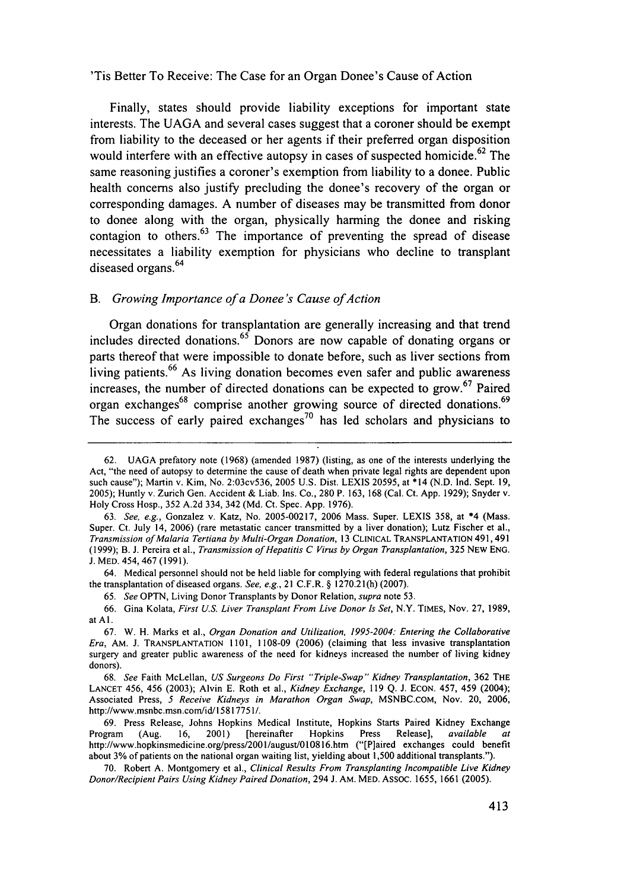Finally, states should provide liability exceptions for important state interests. The **UAGA** and several cases suggest that a coroner should be exempt from liability to the deceased or her agents if their preferred organ disposition would interfere with an effective autopsy in cases of suspected homicide.<sup>62</sup> The same reasoning justifies a coroner's exemption from liability to a donee. Public health concerns also justify precluding the donee's recovery of the organ or corresponding damages. **A** number of diseases may be transmitted from donor to donee along with the organ, physically harming the donee and risking contagion to others. $63$  The importance of preventing the spread of disease necessitates a liability exemption for physicians who decline to transplant diseased organs.<sup>64</sup>

## **B.** Growing Importance of a Donee's Cause of Action

Organ donations for transplantation are generally increasing and that trend includes directed donations.<sup>65</sup> Donors are now capable of donating organs or parts thereof that were impossible to donate before, such as liver sections from living patients.<sup>66</sup> As living donation becomes even safer and public awareness increases, the number of directed donations can be expected to grow.<sup>67</sup> Paired organ exchanges<sup>68</sup> comprise another growing source of directed donations.<sup>69</sup> The success of early paired exchanges<sup>70</sup> has led scholars and physicians to

64. Medical personnel should not be held liable for complying with federal regulations that prohibit the transplantation of diseased organs. *See, e.g.,* 21 C.F.R. § 1270.2 1(h) (2007).

*65. See* OPTN, Living Donor Transplants by Donor Relation, *supra* note 53.

66. Gina Kolata, *First U.S. Liver Transplant From Live Donor Is Set,* N.Y. TIMES, Nov. 27, 1989, at **AI.**

68. *See* Faith McLellan, *US Surgeons Do First "Triple-Swap" Kidney Transplantation,* 362 THE LANCET 456, 456 (2003); Alvin E. Roth et al., *Kidney Exchange,* 119 Q. J. ECON. 457, 459 (2004); Associated Press, *5 Receive Kidneys in Marathon Organ Swap,* MSNBC.COM, Nov. 20, 2006, http://www.msnbc.msn.com/id/15817751/.

69. Press Release, Johns Hopkins Medical Institute, Hopkins Starts Paired Kidney Exchange Program (Aug. 16, 2001) [hereinafter Hopkins Press Release], *available at* http://www.hopkinsmedicine.org/press/2001/august/010816.htm ("[P]aired exchanges could benefit about 3% of patients on the national organ waiting list, yielding about 1,500 additional transplants.").

70. Robert A. Montgomery et al., *Clinical Results From Transplanting Incompatible Live Kidney Donor/Recipient Pairs Using Kidney Paired Donation,* 294 J. AM. MED. ASSOC. 1655, 1661 (2005).

<sup>62.</sup> UAGA prefatory note (1968) (amended 1987) (listing, as one of the interests underlying the Act, "the need of autopsy to determine the cause of death when private legal rights are dependent upon such cause"); Martin v. Kim, No. 2:03cv536, 2005 U.S. Dist. LEXIS 20595, at \*14 (N.D. Ind. Sept. 19, 2005); Huntly v. Zurich Gen. Accident & Liab. Ins. Co., 280 P. 163, 168 (Cal. Ct. App. 1929); Snyder v. Holy Cross Hosp., 352 A.2d 334, 342 (Md. Ct. Spec. App. 1976).

<sup>63.</sup> *See, e.g.,* Gonzalez v. Katz, No. 2005-00217, 2006 Mass. Super. LEXIS 358, at \*4 (Mass. Super. Ct. July 14, 2006) (rare metastatic cancer transmitted by a liver donation); Lutz Fischer et al., *Transmission of Malaria Tertiana by Multi-Organ Donation,* 13 CLINICAL TRANSPLANTATION 491, 491 (1999); B. J. Pereira et al., *Transmission of Hepatitis C Virus by Organ Transplantation,* 325 **NEW** ENG. J. MED. 454, 467 (1991).

<sup>67.</sup> W. H. Marks et al., *Organ Donation and Utilization, 1995-2004: Entering the Collaborative Era,* AM. J. TRANSPLANTATION 1101, 1108-09 (2006) (claiming that less invasive transplantation surgery and greater public awareness of the need for kidneys increased the number of living kidney donors).